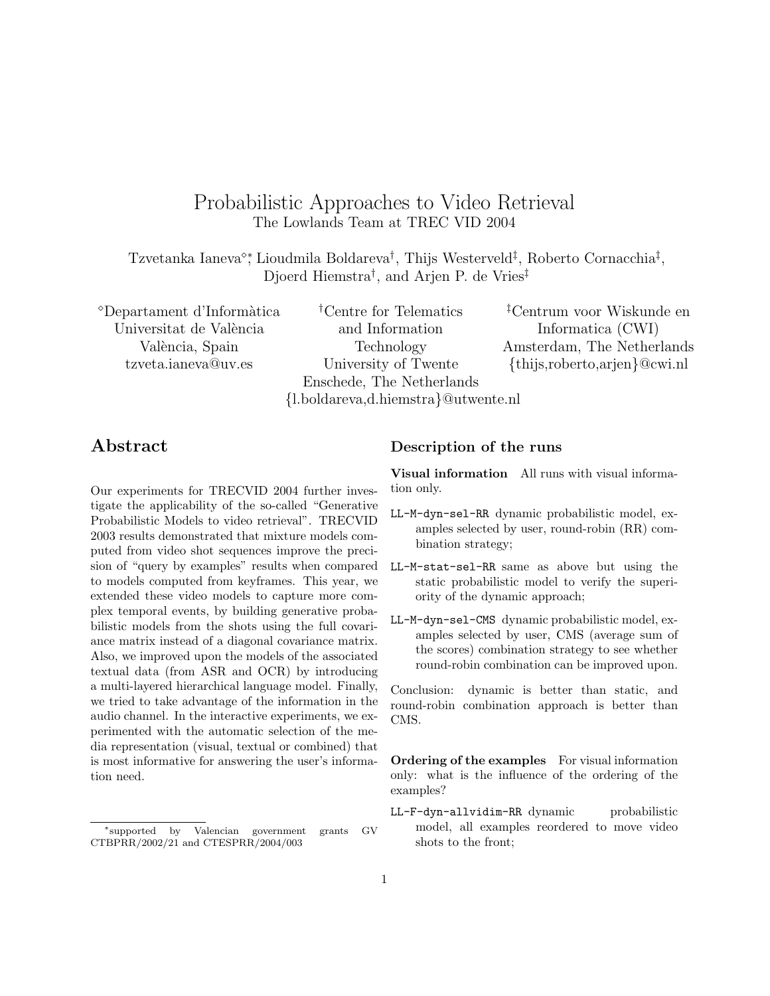# Probabilistic Approaches to Video Retrieval The Lowlands Team at TREC VID 2004

Tzvetanka Ianeva<sup>®</sup>; Lioudmila Boldareva<sup>†</sup>, Thijs Westerveld<sup>‡</sup>, Roberto Cornacchia<sup>‡</sup>, Djoerd Hiemstra† , and Arjen P. de Vries‡

Departament d'Inform`atica Universitat de València València, Spain tzveta.ianeva@uv.es

†Centre for Telematics and Information Technology University of Twente Enschede, The Netherlands {l.boldareva,d.hiemstra}@utwente.nl

‡Centrum voor Wiskunde en Informatica (CWI) Amsterdam, The Netherlands {thijs,roberto,arjen}@cwi.nl

## Abstract

Our experiments for TRECVID 2004 further investigate the applicability of the so-called "Generative Probabilistic Models to video retrieval". TRECVID 2003 results demonstrated that mixture models computed from video shot sequences improve the precision of "query by examples" results when compared to models computed from keyframes. This year, we extended these video models to capture more complex temporal events, by building generative probabilistic models from the shots using the full covariance matrix instead of a diagonal covariance matrix. Also, we improved upon the models of the associated textual data (from ASR and OCR) by introducing a multi-layered hierarchical language model. Finally, we tried to take advantage of the information in the audio channel. In the interactive experiments, we experimented with the automatic selection of the media representation (visual, textual or combined) that is most informative for answering the user's information need.

## Description of the runs

Visual information All runs with visual information only.

- LL-M-dyn-sel-RR dynamic probabilistic model, examples selected by user, round-robin (RR) combination strategy;
- LL-M-stat-sel-RR same as above but using the static probabilistic model to verify the superiority of the dynamic approach;
- LL-M-dyn-sel-CMS dynamic probabilistic model, examples selected by user, CMS (average sum of the scores) combination strategy to see whether round-robin combination can be improved upon.

Conclusion: dynamic is better than static, and round-robin combination approach is better than CMS.

Ordering of the examples For visual information only: what is the influence of the ordering of the examples?

LL-F-dyn-allvidim-RR dynamic probabilistic model, all examples reordered to move video shots to the front;

<sup>∗</sup>supported by Valencian government grants GV CTBPRR/2002/21 and CTESPRR/2004/003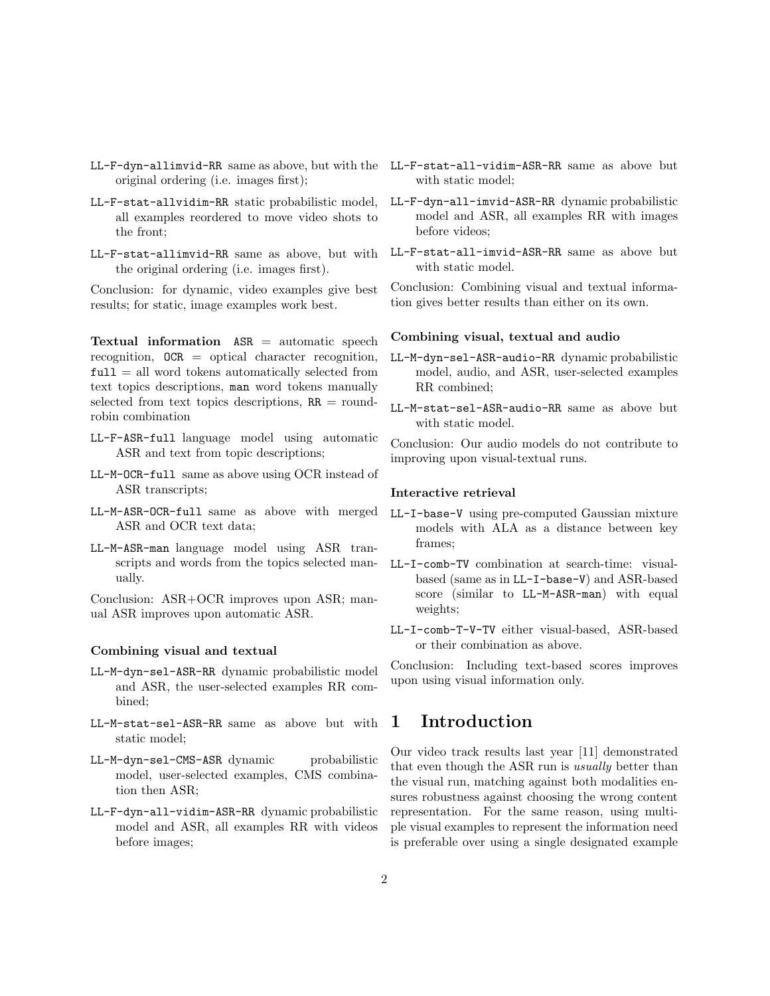- LL-F-dyn-allimvid-RR same as above, but with the LL-F-stat-all-vidim-ASR-RR same as above but original ordering (i.e. images first);
- LL-F-stat-allvidim-RR static probabilistic model, all examples reordered to move video shots to the front;
- LL-F-stat-allimvid-RR same as above, but with the original ordering (i.e. images first).

Conclusion: for dynamic, video examples give best results; for static, image examples work best.

Textual information  $ASR =$  automatic speech recognition, OCR = optical character recognition,  $full = all word tokens automatically selected from$ text topics descriptions, man word tokens manually selected from text topics descriptions,  $RR = round$ robin combination

- LL-F-ASR-full language model using automatic ASR and text from topic descriptions;
- LL-M-OCR-full same as above using OCR instead of ASR transcripts;
- LL-M-ASR-OCR-full same as above with merged ASR and OCR text data;
- LL-M-ASR-man language model using ASR transcripts and words from the topics selected manually.

Conclusion: ASR+OCR improves upon ASR; manual ASR improves upon automatic ASR.

#### Combining visual and textual

- LL-M-dyn-sel-ASR-RR dynamic probabilistic model and ASR, the user-selected examples RR combined;
- LL-M-stat-sel-ASR-RR same as above but with static model;
- LL-M-dyn-sel-CMS-ASR dynamic probabilistic model, user-selected examples, CMS combination then ASR;
- LL-F-dyn-all-vidim-ASR-RR dynamic probabilistic model and ASR, all examples RR with videos before images;
- with static model;
- LL-F-dyn-all-imvid-ASR-RR dynamic probabilistic model and ASR, all examples RR with images before videos;
- LL-F-stat-all-imvid-ASR-RR same as above but with static model.

Conclusion: Combining visual and textual information gives better results than either on its own.

#### Combining visual, textual and audio

- LL-M-dyn-sel-ASR-audio-RR dynamic probabilistic model, audio, and ASR, user-selected examples RR combined;
- LL-M-stat-sel-ASR-audio-RR same as above but with static model.

Conclusion: Our audio models do not contribute to improving upon visual-textual runs.

#### Interactive retrieval

- LL-I-base-V using pre-computed Gaussian mixture models with ALA as a distance between key frames;
- LL-I-comb-TV combination at search-time: visualbased (same as in LL-I-base-V) and ASR-based score (similar to LL-M-ASR-man) with equal weights;
- LL-I-comb-T-V-TV either visual-based, ASR-based or their combination as above.

Conclusion: Including text-based scores improves upon using visual information only.

## 1 Introduction

Our video track results last year [11] demonstrated that even though the ASR run is usually better than the visual run, matching against both modalities ensures robustness against choosing the wrong content representation. For the same reason, using multiple visual examples to represent the information need is preferable over using a single designated example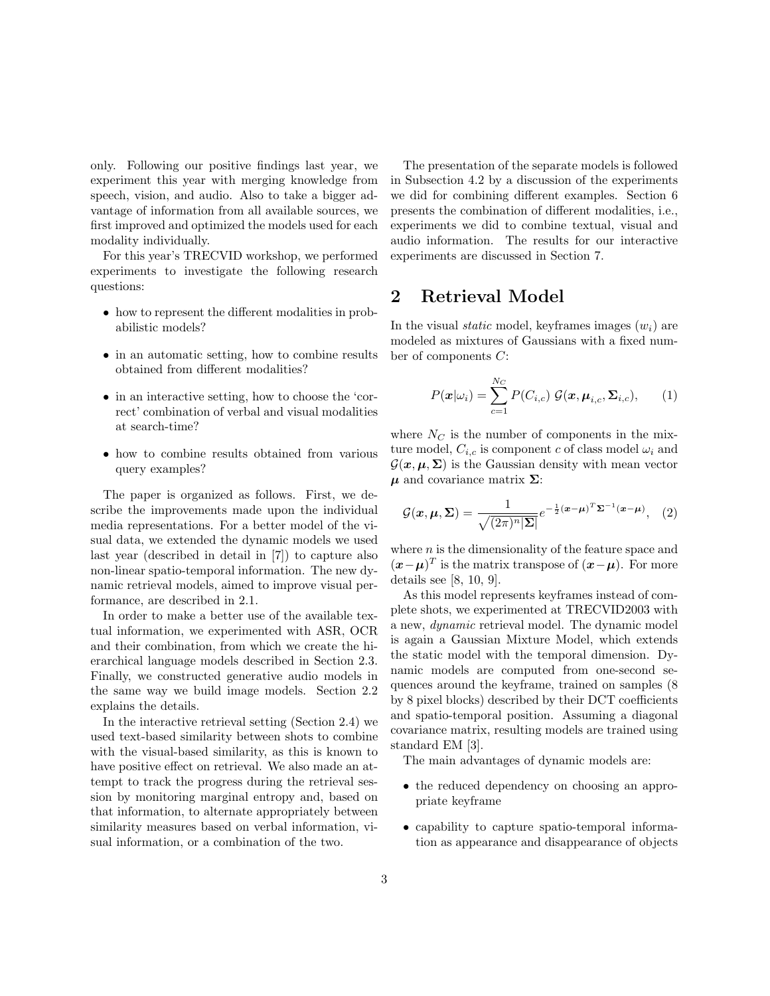only. Following our positive findings last year, we experiment this year with merging knowledge from speech, vision, and audio. Also to take a bigger advantage of information from all available sources, we first improved and optimized the models used for each modality individually.

For this year's TRECVID workshop, we performed experiments to investigate the following research questions:

- how to represent the different modalities in probabilistic models?
- in an automatic setting, how to combine results obtained from different modalities?
- in an interactive setting, how to choose the 'correct' combination of verbal and visual modalities at search-time?
- how to combine results obtained from various query examples?

The paper is organized as follows. First, we describe the improvements made upon the individual media representations. For a better model of the visual data, we extended the dynamic models we used last year (described in detail in [7]) to capture also non-linear spatio-temporal information. The new dynamic retrieval models, aimed to improve visual performance, are described in 2.1.

In order to make a better use of the available textual information, we experimented with ASR, OCR and their combination, from which we create the hierarchical language models described in Section 2.3. Finally, we constructed generative audio models in the same way we build image models. Section 2.2 explains the details.

In the interactive retrieval setting (Section 2.4) we used text-based similarity between shots to combine with the visual-based similarity, as this is known to have positive effect on retrieval. We also made an attempt to track the progress during the retrieval session by monitoring marginal entropy and, based on that information, to alternate appropriately between similarity measures based on verbal information, visual information, or a combination of the two.

The presentation of the separate models is followed in Subsection 4.2 by a discussion of the experiments we did for combining different examples. Section 6 presents the combination of different modalities, i.e., experiments we did to combine textual, visual and audio information. The results for our interactive experiments are discussed in Section 7.

## 2 Retrieval Model

In the visual *static* model, keyframes images  $(w_i)$  are modeled as mixtures of Gaussians with a fixed number of components C:

$$
P(\boldsymbol{x}|\omega_i) = \sum_{c=1}^{N_C} P(C_{i,c}) \mathcal{G}(\boldsymbol{x}, \boldsymbol{\mu}_{i,c}, \boldsymbol{\Sigma}_{i,c}), \qquad (1)
$$

where  $N_C$  is the number of components in the mixture model,  $C_{i,c}$  is component c of class model  $\omega_i$  and  $\mathcal{G}(\mathbf{x}, \mu, \Sigma)$  is the Gaussian density with mean vector  $\mu$  and covariance matrix  $\Sigma$ :

$$
\mathcal{G}(\boldsymbol{x}, \boldsymbol{\mu}, \boldsymbol{\Sigma}) = \frac{1}{\sqrt{(2\pi)^n |\boldsymbol{\Sigma}|}} e^{-\frac{1}{2}(\boldsymbol{x} - \boldsymbol{\mu})^T \boldsymbol{\Sigma}^{-1}(\boldsymbol{x} - \boldsymbol{\mu})}, \quad (2)
$$

where  $n$  is the dimensionality of the feature space and  $(\boldsymbol{x}-\boldsymbol{\mu})^T$  is the matrix transpose of  $(\boldsymbol{x}-\boldsymbol{\mu})$ . For more details see [8, 10, 9].

As this model represents keyframes instead of complete shots, we experimented at TRECVID2003 with a new, dynamic retrieval model. The dynamic model is again a Gaussian Mixture Model, which extends the static model with the temporal dimension. Dynamic models are computed from one-second sequences around the keyframe, trained on samples (8 by 8 pixel blocks) described by their DCT coefficients and spatio-temporal position. Assuming a diagonal covariance matrix, resulting models are trained using standard EM [3].

The main advantages of dynamic models are:

- the reduced dependency on choosing an appropriate keyframe
- capability to capture spatio-temporal information as appearance and disappearance of objects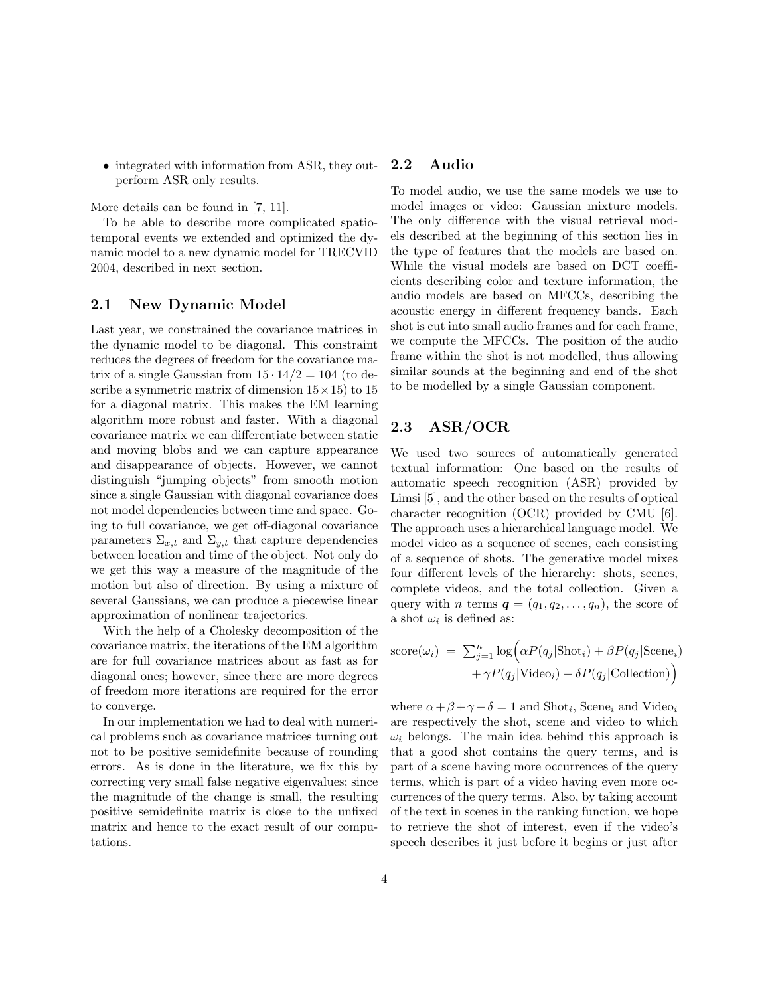• integrated with information from ASR, they outperform ASR only results.

More details can be found in [7, 11].

To be able to describe more complicated spatiotemporal events we extended and optimized the dynamic model to a new dynamic model for TRECVID 2004, described in next section.

### 2.1 New Dynamic Model

Last year, we constrained the covariance matrices in the dynamic model to be diagonal. This constraint reduces the degrees of freedom for the covariance matrix of a single Gaussian from  $15 \cdot 14/2 = 104$  (to describe a symmetric matrix of dimension  $15 \times 15$ ) to  $15$ for a diagonal matrix. This makes the EM learning algorithm more robust and faster. With a diagonal covariance matrix we can differentiate between static and moving blobs and we can capture appearance and disappearance of objects. However, we cannot distinguish "jumping objects" from smooth motion since a single Gaussian with diagonal covariance does not model dependencies between time and space. Going to full covariance, we get off-diagonal covariance parameters  $\Sigma_{x,t}$  and  $\Sigma_{y,t}$  that capture dependencies between location and time of the object. Not only do we get this way a measure of the magnitude of the motion but also of direction. By using a mixture of several Gaussians, we can produce a piecewise linear approximation of nonlinear trajectories.

With the help of a Cholesky decomposition of the covariance matrix, the iterations of the EM algorithm are for full covariance matrices about as fast as for diagonal ones; however, since there are more degrees of freedom more iterations are required for the error to converge.

In our implementation we had to deal with numerical problems such as covariance matrices turning out not to be positive semidefinite because of rounding errors. As is done in the literature, we fix this by correcting very small false negative eigenvalues; since the magnitude of the change is small, the resulting positive semidefinite matrix is close to the unfixed matrix and hence to the exact result of our computations.

### 2.2 Audio

To model audio, we use the same models we use to model images or video: Gaussian mixture models. The only difference with the visual retrieval models described at the beginning of this section lies in the type of features that the models are based on. While the visual models are based on DCT coefficients describing color and texture information, the audio models are based on MFCCs, describing the acoustic energy in different frequency bands. Each shot is cut into small audio frames and for each frame, we compute the MFCCs. The position of the audio frame within the shot is not modelled, thus allowing similar sounds at the beginning and end of the shot to be modelled by a single Gaussian component.

### 2.3 ASR/OCR

We used two sources of automatically generated textual information: One based on the results of automatic speech recognition (ASR) provided by Limsi [5], and the other based on the results of optical character recognition (OCR) provided by CMU [6]. The approach uses a hierarchical language model. We model video as a sequence of scenes, each consisting of a sequence of shots. The generative model mixes four different levels of the hierarchy: shots, scenes, complete videos, and the total collection. Given a query with *n* terms  $q = (q_1, q_2, \ldots, q_n)$ , the score of a shot  $\omega_i$  is defined as:

score(
$$
\omega_i
$$
) =  $\sum_{j=1}^{n} \log \Big( \alpha P(q_j | \text{shot}_i) + \beta P(q_j | \text{Scene}_i) + \gamma P(q_j | \text{Video}_i) + \delta P(q_j | \text{Collection}) \Big)$ 

where  $\alpha + \beta + \gamma + \delta = 1$  and Shot<sub>i</sub>, Scene<sub>i</sub> and Video<sub>i</sub> are respectively the shot, scene and video to which  $\omega_i$  belongs. The main idea behind this approach is that a good shot contains the query terms, and is part of a scene having more occurrences of the query terms, which is part of a video having even more occurrences of the query terms. Also, by taking account of the text in scenes in the ranking function, we hope to retrieve the shot of interest, even if the video's speech describes it just before it begins or just after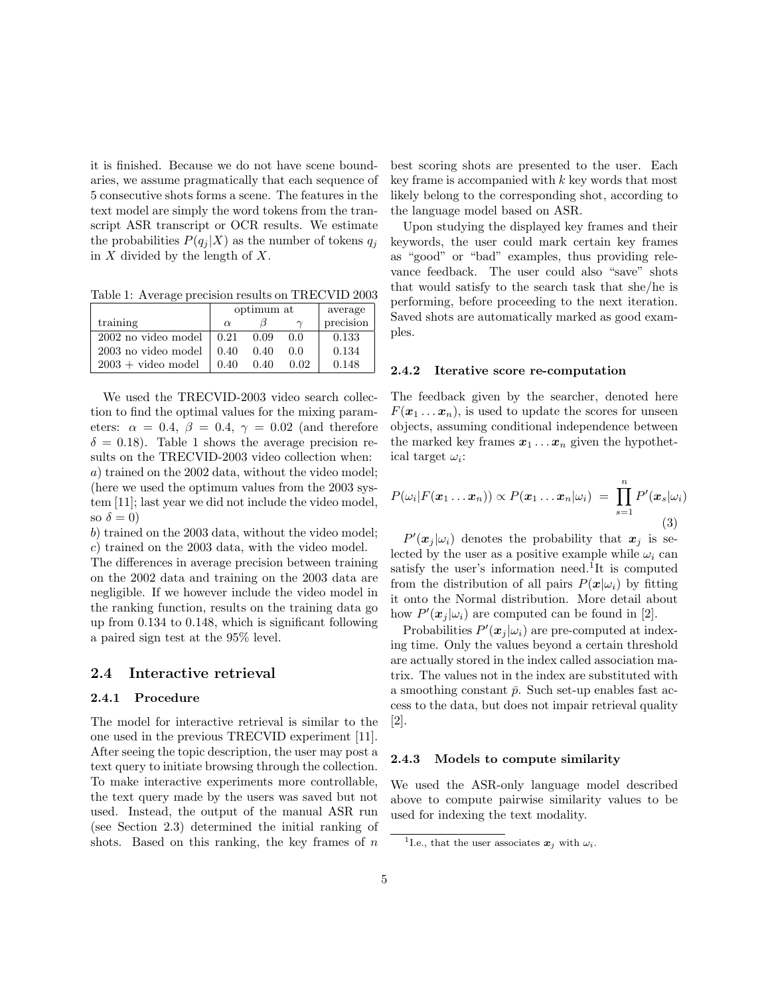it is finished. Because we do not have scene boundaries, we assume pragmatically that each sequence of 5 consecutive shots forms a scene. The features in the text model are simply the word tokens from the transcript ASR transcript or OCR results. We estimate the probabilities  $P(q_i | X)$  as the number of tokens  $q_i$ in  $X$  divided by the length of  $X$ .

Table 1: Average precision results on TRECVID 2003

|                      | optimum at |      |          | average   |
|----------------------|------------|------|----------|-----------|
| training             | $\alpha$   |      | $\gamma$ | precision |
| 2002 no video model  | 0.21       | 0.09 | 0.0      | 0.133     |
| 2003 no video model  | 0.40       | 0.40 | 0.0      | 0.134     |
| $2003 + video model$ | 0.40       | 0.40 | 0.02     | 0.148     |

We used the TRECVID-2003 video search collection to find the optimal values for the mixing parameters:  $\alpha = 0.4$ ,  $\beta = 0.4$ ,  $\gamma = 0.02$  (and therefore  $\delta = 0.18$ . Table 1 shows the average precision results on the TRECVID-2003 video collection when: a) trained on the 2002 data, without the video model; (here we used the optimum values from the 2003 system [11]; last year we did not include the video model, so  $\delta = 0$ )

b) trained on the 2003 data, without the video model; c) trained on the 2003 data, with the video model.

The differences in average precision between training on the 2002 data and training on the 2003 data are negligible. If we however include the video model in the ranking function, results on the training data go up from 0.134 to 0.148, which is significant following a paired sign test at the 95% level.

#### 2.4 Interactive retrieval

#### 2.4.1 Procedure

The model for interactive retrieval is similar to the one used in the previous TRECVID experiment [11]. After seeing the topic description, the user may post a text query to initiate browsing through the collection. To make interactive experiments more controllable, the text query made by the users was saved but not used. Instead, the output of the manual ASR run (see Section 2.3) determined the initial ranking of shots. Based on this ranking, the key frames of  $n$ 

best scoring shots are presented to the user. Each key frame is accompanied with  $k$  key words that most likely belong to the corresponding shot, according to the language model based on ASR.

Upon studying the displayed key frames and their keywords, the user could mark certain key frames as "good" or "bad" examples, thus providing relevance feedback. The user could also "save" shots that would satisfy to the search task that she/he is performing, before proceeding to the next iteration. Saved shots are automatically marked as good examples.

#### 2.4.2 Iterative score re-computation

The feedback given by the searcher, denoted here  $F(\mathbf{x}_1 \dots \mathbf{x}_n)$ , is used to update the scores for unseen objects, assuming conditional independence between the marked key frames  $x_1 \ldots x_n$  given the hypothetical target  $\omega_i$ :

$$
P(\omega_i|F(\boldsymbol{x}_1 \dots \boldsymbol{x}_n)) \propto P(\boldsymbol{x}_1 \dots \boldsymbol{x}_n|\omega_i) = \prod_{s=1}^n P'(\boldsymbol{x}_s|\omega_i)
$$
\n(3)

 $P'(\boldsymbol{x}_j|\omega_i)$  denotes the probability that  $\boldsymbol{x}_j$  is selected by the user as a positive example while  $\omega_i$  can satisfy the user's information need.<sup>1</sup>It is computed from the distribution of all pairs  $P(x|\omega_i)$  by fitting it onto the Normal distribution. More detail about how  $P'(\mathbf{x}_j|\omega_i)$  are computed can be found in [2].

Probabilities  $P'(\mathbf{x}_j|\omega_i)$  are pre-computed at indexing time. Only the values beyond a certain threshold are actually stored in the index called association matrix. The values not in the index are substituted with a smoothing constant  $\bar{p}$ . Such set-up enables fast access to the data, but does not impair retrieval quality [2].

#### 2.4.3 Models to compute similarity

We used the ASR-only language model described above to compute pairwise similarity values to be used for indexing the text modality.

<sup>&</sup>lt;sup>1</sup>I.e., that the user associates  $x_j$  with  $\omega_i$ .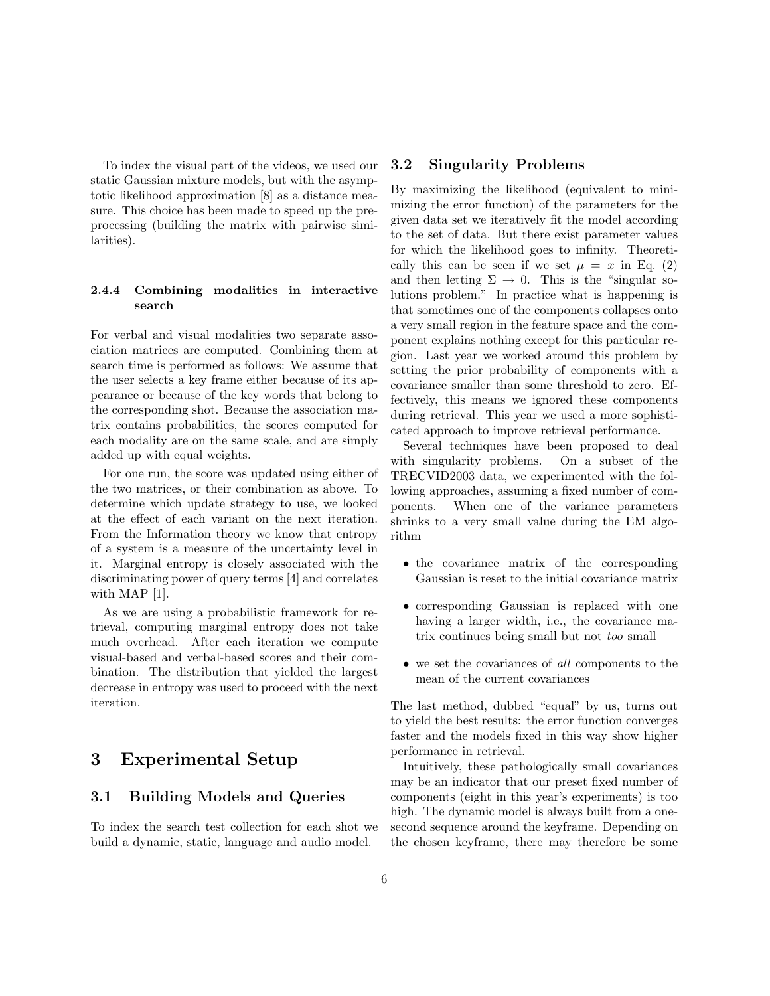To index the visual part of the videos, we used our static Gaussian mixture models, but with the asymptotic likelihood approximation [8] as a distance measure. This choice has been made to speed up the preprocessing (building the matrix with pairwise similarities).

#### 2.4.4 Combining modalities in interactive search

For verbal and visual modalities two separate association matrices are computed. Combining them at search time is performed as follows: We assume that the user selects a key frame either because of its appearance or because of the key words that belong to the corresponding shot. Because the association matrix contains probabilities, the scores computed for each modality are on the same scale, and are simply added up with equal weights.

For one run, the score was updated using either of the two matrices, or their combination as above. To determine which update strategy to use, we looked at the effect of each variant on the next iteration. From the Information theory we know that entropy of a system is a measure of the uncertainty level in it. Marginal entropy is closely associated with the discriminating power of query terms [4] and correlates with MAP [1].

As we are using a probabilistic framework for retrieval, computing marginal entropy does not take much overhead. After each iteration we compute visual-based and verbal-based scores and their combination. The distribution that yielded the largest decrease in entropy was used to proceed with the next iteration.

# 3 Experimental Setup

### 3.1 Building Models and Queries

To index the search test collection for each shot we build a dynamic, static, language and audio model.

#### 3.2 Singularity Problems

By maximizing the likelihood (equivalent to minimizing the error function) of the parameters for the given data set we iteratively fit the model according to the set of data. But there exist parameter values for which the likelihood goes to infinity. Theoretically this can be seen if we set  $\mu = x$  in Eq. (2) and then letting  $\Sigma \rightarrow 0$ . This is the "singular solutions problem." In practice what is happening is that sometimes one of the components collapses onto a very small region in the feature space and the component explains nothing except for this particular region. Last year we worked around this problem by setting the prior probability of components with a covariance smaller than some threshold to zero. Effectively, this means we ignored these components during retrieval. This year we used a more sophisticated approach to improve retrieval performance.

Several techniques have been proposed to deal with singularity problems. On a subset of the TRECVID2003 data, we experimented with the following approaches, assuming a fixed number of components. When one of the variance parameters shrinks to a very small value during the EM algorithm

- the covariance matrix of the corresponding Gaussian is reset to the initial covariance matrix
- corresponding Gaussian is replaced with one having a larger width, i.e., the covariance matrix continues being small but not too small
- we set the covariances of all components to the mean of the current covariances

The last method, dubbed "equal" by us, turns out to yield the best results: the error function converges faster and the models fixed in this way show higher performance in retrieval.

Intuitively, these pathologically small covariances may be an indicator that our preset fixed number of components (eight in this year's experiments) is too high. The dynamic model is always built from a onesecond sequence around the keyframe. Depending on the chosen keyframe, there may therefore be some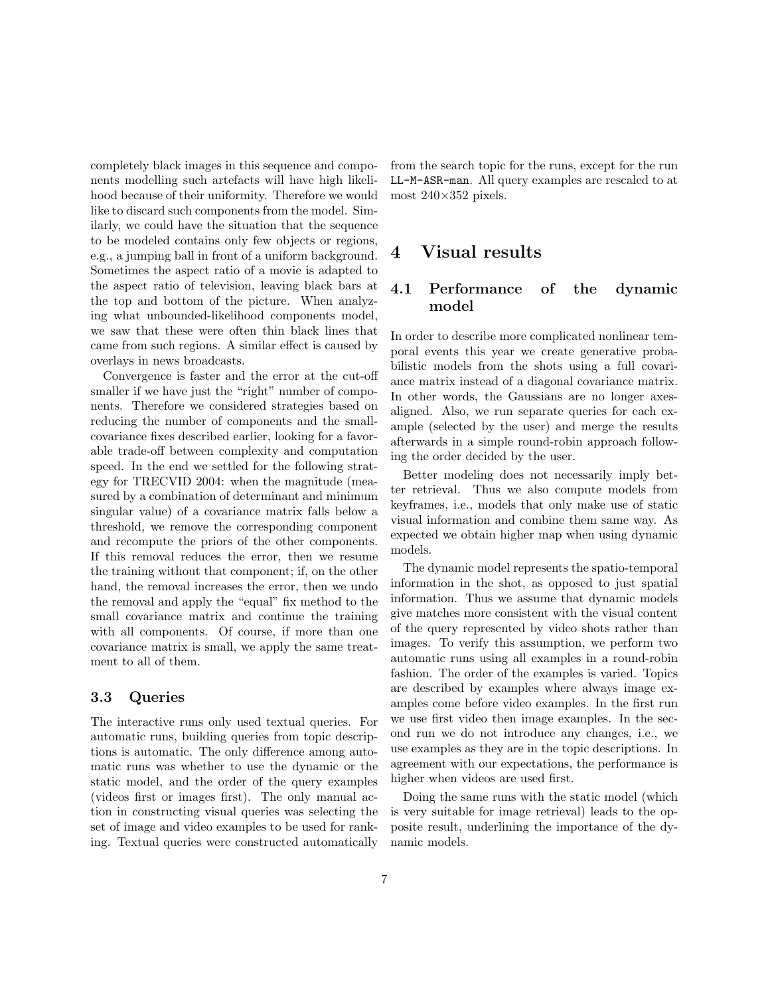completely black images in this sequence and components modelling such artefacts will have high likelihood because of their uniformity. Therefore we would like to discard such components from the model. Similarly, we could have the situation that the sequence to be modeled contains only few objects or regions, e.g., a jumping ball in front of a uniform background. Sometimes the aspect ratio of a movie is adapted to the aspect ratio of television, leaving black bars at the top and bottom of the picture. When analyzing what unbounded-likelihood components model, we saw that these were often thin black lines that came from such regions. A similar effect is caused by overlays in news broadcasts.

Convergence is faster and the error at the cut-off smaller if we have just the "right" number of components. Therefore we considered strategies based on reducing the number of components and the smallcovariance fixes described earlier, looking for a favorable trade-off between complexity and computation speed. In the end we settled for the following strategy for TRECVID 2004: when the magnitude (measured by a combination of determinant and minimum singular value) of a covariance matrix falls below a threshold, we remove the corresponding component and recompute the priors of the other components. If this removal reduces the error, then we resume the training without that component; if, on the other hand, the removal increases the error, then we undo the removal and apply the "equal" fix method to the small covariance matrix and continue the training with all components. Of course, if more than one covariance matrix is small, we apply the same treatment to all of them.

### 3.3 Queries

The interactive runs only used textual queries. For automatic runs, building queries from topic descriptions is automatic. The only difference among automatic runs was whether to use the dynamic or the static model, and the order of the query examples (videos first or images first). The only manual action in constructing visual queries was selecting the set of image and video examples to be used for ranking. Textual queries were constructed automatically from the search topic for the runs, except for the run LL-M-ASR-man. All query examples are rescaled to at most 240×352 pixels.

## 4 Visual results

## 4.1 Performance of the dynamic model

In order to describe more complicated nonlinear temporal events this year we create generative probabilistic models from the shots using a full covariance matrix instead of a diagonal covariance matrix. In other words, the Gaussians are no longer axesaligned. Also, we run separate queries for each example (selected by the user) and merge the results afterwards in a simple round-robin approach following the order decided by the user.

Better modeling does not necessarily imply better retrieval. Thus we also compute models from keyframes, i.e., models that only make use of static visual information and combine them same way. As expected we obtain higher map when using dynamic models.

The dynamic model represents the spatio-temporal information in the shot, as opposed to just spatial information. Thus we assume that dynamic models give matches more consistent with the visual content of the query represented by video shots rather than images. To verify this assumption, we perform two automatic runs using all examples in a round-robin fashion. The order of the examples is varied. Topics are described by examples where always image examples come before video examples. In the first run we use first video then image examples. In the second run we do not introduce any changes, i.e., we use examples as they are in the topic descriptions. In agreement with our expectations, the performance is higher when videos are used first.

Doing the same runs with the static model (which is very suitable for image retrieval) leads to the opposite result, underlining the importance of the dynamic models.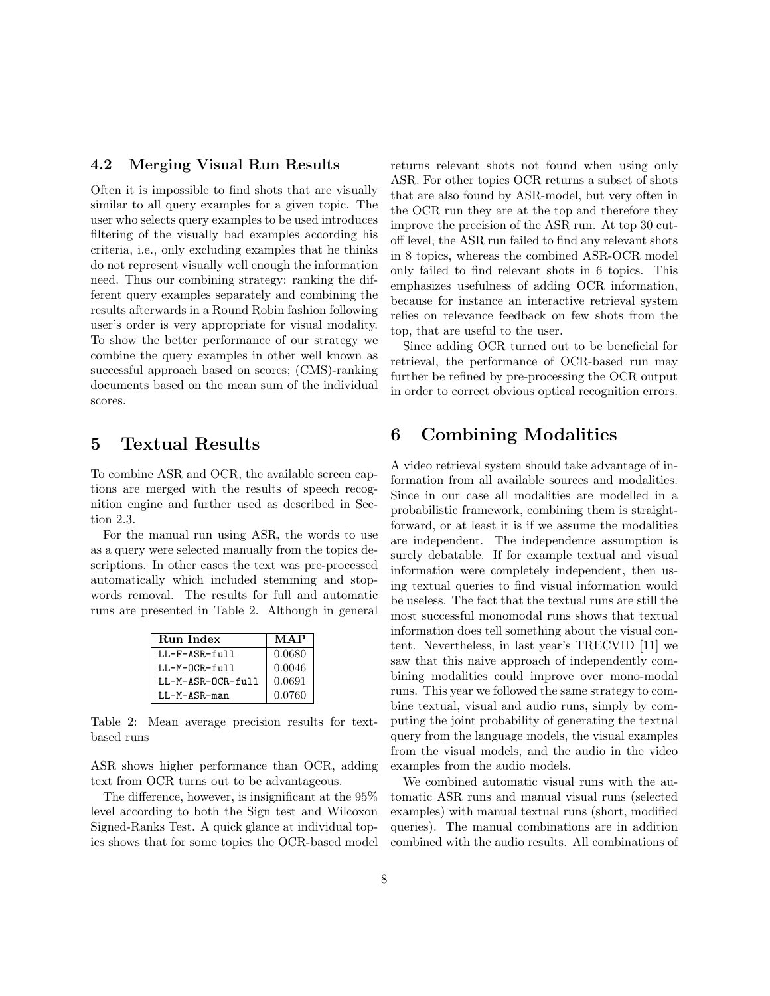### 4.2 Merging Visual Run Results

Often it is impossible to find shots that are visually similar to all query examples for a given topic. The user who selects query examples to be used introduces filtering of the visually bad examples according his criteria, i.e., only excluding examples that he thinks do not represent visually well enough the information need. Thus our combining strategy: ranking the different query examples separately and combining the results afterwards in a Round Robin fashion following user's order is very appropriate for visual modality. To show the better performance of our strategy we combine the query examples in other well known as successful approach based on scores; (CMS)-ranking documents based on the mean sum of the individual scores.

## 5 Textual Results

To combine ASR and OCR, the available screen captions are merged with the results of speech recognition engine and further used as described in Section 2.3.

For the manual run using ASR, the words to use as a query were selected manually from the topics descriptions. In other cases the text was pre-processed automatically which included stemming and stopwords removal. The results for full and automatic runs are presented in Table 2. Although in general

| <b>Run</b> Index  | MAP    |
|-------------------|--------|
| $LL-F-ASR-full$   | 0.0680 |
| $I.I.-M-0CR-f111$ | 0.0046 |
| LL-M-ASR-OCR-full | 0.0691 |
| LL-M-ASR-man      | 0.0760 |

Table 2: Mean average precision results for textbased runs

ASR shows higher performance than OCR, adding text from OCR turns out to be advantageous.

The difference, however, is insignificant at the 95% level according to both the Sign test and Wilcoxon Signed-Ranks Test. A quick glance at individual topics shows that for some topics the OCR-based model returns relevant shots not found when using only ASR. For other topics OCR returns a subset of shots that are also found by ASR-model, but very often in the OCR run they are at the top and therefore they improve the precision of the ASR run. At top 30 cutoff level, the ASR run failed to find any relevant shots in 8 topics, whereas the combined ASR-OCR model only failed to find relevant shots in 6 topics. This emphasizes usefulness of adding OCR information, because for instance an interactive retrieval system relies on relevance feedback on few shots from the top, that are useful to the user.

Since adding OCR turned out to be beneficial for retrieval, the performance of OCR-based run may further be refined by pre-processing the OCR output in order to correct obvious optical recognition errors.

# 6 Combining Modalities

A video retrieval system should take advantage of information from all available sources and modalities. Since in our case all modalities are modelled in a probabilistic framework, combining them is straightforward, or at least it is if we assume the modalities are independent. The independence assumption is surely debatable. If for example textual and visual information were completely independent, then using textual queries to find visual information would be useless. The fact that the textual runs are still the most successful monomodal runs shows that textual information does tell something about the visual content. Nevertheless, in last year's TRECVID [11] we saw that this naive approach of independently combining modalities could improve over mono-modal runs. This year we followed the same strategy to combine textual, visual and audio runs, simply by computing the joint probability of generating the textual query from the language models, the visual examples from the visual models, and the audio in the video examples from the audio models.

We combined automatic visual runs with the automatic ASR runs and manual visual runs (selected examples) with manual textual runs (short, modified queries). The manual combinations are in addition combined with the audio results. All combinations of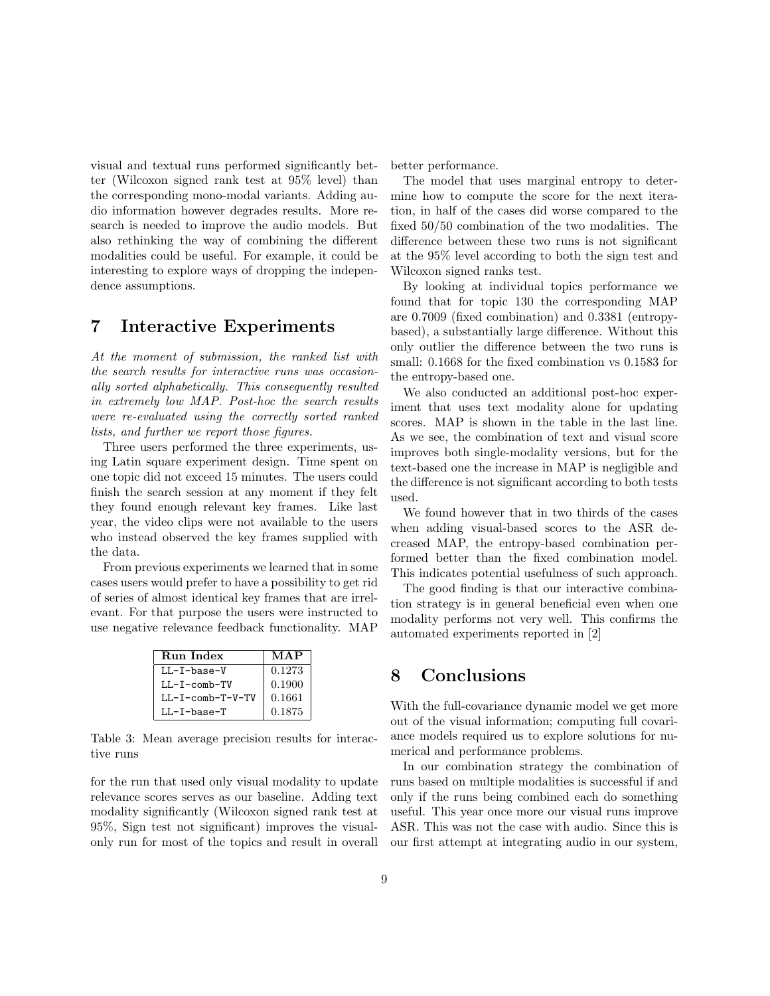visual and textual runs performed significantly better (Wilcoxon signed rank test at 95% level) than the corresponding mono-modal variants. Adding audio information however degrades results. More research is needed to improve the audio models. But also rethinking the way of combining the different modalities could be useful. For example, it could be interesting to explore ways of dropping the independence assumptions.

# 7 Interactive Experiments

At the moment of submission, the ranked list with the search results for interactive runs was occasionally sorted alphabetically. This consequently resulted in extremely low MAP. Post-hoc the search results were re-evaluated using the correctly sorted ranked lists, and further we report those figures.

Three users performed the three experiments, using Latin square experiment design. Time spent on one topic did not exceed 15 minutes. The users could finish the search session at any moment if they felt they found enough relevant key frames. Like last year, the video clips were not available to the users who instead observed the key frames supplied with the data.

From previous experiments we learned that in some cases users would prefer to have a possibility to get rid of series of almost identical key frames that are irrelevant. For that purpose the users were instructed to use negative relevance feedback functionality. MAP

| Run Index        | MAP    |
|------------------|--------|
| $LL-I-base-V$    | 0.1273 |
| $LL-T-comb-TV$   | 0.1900 |
| LL-I-comb-T-V-TV | 0.1661 |
| $LL-I-base-T$    | 0.1875 |

Table 3: Mean average precision results for interactive runs

for the run that used only visual modality to update relevance scores serves as our baseline. Adding text modality significantly (Wilcoxon signed rank test at 95%, Sign test not significant) improves the visualonly run for most of the topics and result in overall better performance.

The model that uses marginal entropy to determine how to compute the score for the next iteration, in half of the cases did worse compared to the fixed 50/50 combination of the two modalities. The difference between these two runs is not significant at the 95% level according to both the sign test and Wilcoxon signed ranks test.

By looking at individual topics performance we found that for topic 130 the corresponding MAP are 0.7009 (fixed combination) and 0.3381 (entropybased), a substantially large difference. Without this only outlier the difference between the two runs is small: 0.1668 for the fixed combination vs 0.1583 for the entropy-based one.

We also conducted an additional post-hoc experiment that uses text modality alone for updating scores. MAP is shown in the table in the last line. As we see, the combination of text and visual score improves both single-modality versions, but for the text-based one the increase in MAP is negligible and the difference is not significant according to both tests used.

We found however that in two thirds of the cases when adding visual-based scores to the ASR decreased MAP, the entropy-based combination performed better than the fixed combination model. This indicates potential usefulness of such approach.

The good finding is that our interactive combination strategy is in general beneficial even when one modality performs not very well. This confirms the automated experiments reported in [2]

## 8 Conclusions

With the full-covariance dynamic model we get more out of the visual information; computing full covariance models required us to explore solutions for numerical and performance problems.

In our combination strategy the combination of runs based on multiple modalities is successful if and only if the runs being combined each do something useful. This year once more our visual runs improve ASR. This was not the case with audio. Since this is our first attempt at integrating audio in our system,